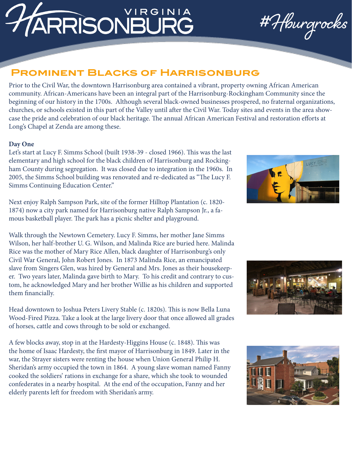# **IRGINIA** ARRISONBURG

#Hburgrocks

## **Prominent Blacks of Harrisonburg**

Prior to the Civil War, the downtown Harrisonburg area contained a vibrant, property owning African American community. African-Americans have been an integral part of the Harrisonburg-Rockingham Community since the beginning of our history in the 1700s. Although several black-owned businesses prospered, no fraternal organizations, churches, or schools existed in this part of the Valley until after the Civil War. Today sites and events in the area showcase the pride and celebration of our black heritage. The annual African American Festival and restoration efforts at Long's Chapel at Zenda are among these.

## **Day One**

Let's start at Lucy F. Simms School (built 1938-39 - closed 1966). This was the last elementary and high school for the black children of Harrisonburg and Rockingham County during segregation. It was closed due to integration in the 1960s. In 2005, the Simms School building was renovated and re-dedicated as "The Lucy F. Simms Continuing Education Center."

Next enjoy Ralph Sampson Park, site of the former Hilltop Plantation (c. 1820- 1874) now a city park named for Harrisonburg native Ralph Sampson Jr., a famous basketball player. The park has a picnic shelter and playground.

Walk through the Newtown Cemetery. Lucy F. Simms, her mother Jane Simms Wilson, her half-brother U. G. Wilson, and Malinda Rice are buried here. Malinda Rice was the mother of Mary Rice Allen, black daughter of Harrisonburg's only Civil War General, John Robert Jones. In 1873 Malinda Rice, an emancipated slave from Singers Glen, was hired by General and Mrs. Jones as their housekeeper. Two years later, Malinda gave birth to Mary. To his credit and contrary to custom, he acknowledged Mary and her brother Willie as his children and supported them financially.

Head downtown to Joshua Peters Livery Stable (c. 1820s). This is now Bella Luna Wood-Fired Pizza. Take a look at the large livery door that once allowed all grades of horses, cattle and cows through to be sold or exchanged.

A few blocks away, stop in at the Hardesty-Higgins House (c. 1848). This was the home of Isaac Hardesty, the first mayor of Harrisonburg in 1849. Later in the war, the Strayer sisters were renting the house when Union General Philip H. Sheridan's army occupied the town in 1864. A young slave woman named Fanny cooked the soldiers' rations in exchange for a share, which she took to wounded confederates in a nearby hospital. At the end of the occupation, Fanny and her elderly parents left for freedom with Sheridan's army.